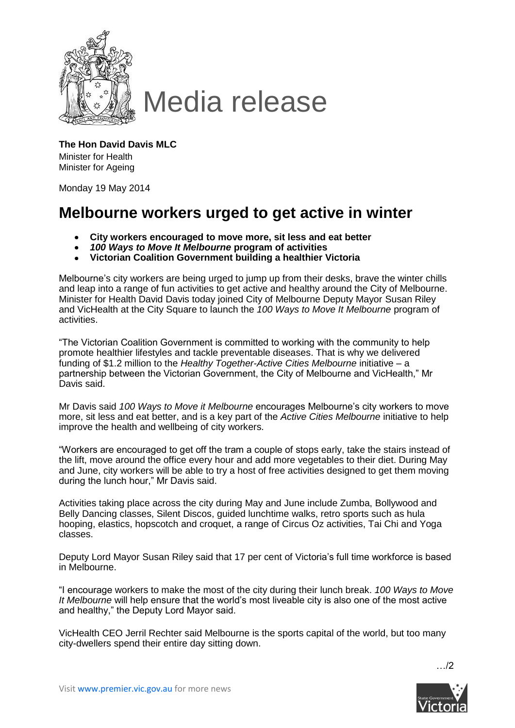

## Media release

**The Hon David Davis MLC** Minister for Health Minister for Ageing

Monday 19 May 2014

## **Melbourne workers urged to get active in winter**

- **City workers encouraged to move more, sit less and eat better**  $\bullet$
- *100 Ways to Move It Melbourne* **program of activities**
- **Victorian Coalition Government building a healthier Victoria**

Melbourne's city workers are being urged to jump up from their desks, brave the winter chills and leap into a range of fun activities to get active and healthy around the City of Melbourne. Minister for Health David Davis today joined City of Melbourne Deputy Mayor Susan Riley and VicHealth at the City Square to launch the *100 Ways to Move It Melbourne* program of activities.

"The Victorian Coalition Government is committed to working with the community to help promote healthier lifestyles and tackle preventable diseases. That is why we delivered funding of \$1.2 million to the *Healthy Together-Active Cities Melbourne* initiative – a partnership between the Victorian Government, the City of Melbourne and VicHealth," Mr Davis said.

Mr Davis said *100 Ways to Move it Melbourne* encourages Melbourne's city workers to move more, sit less and eat better, and is a key part of the *Active Cities Melbourne* initiative to help improve the health and wellbeing of city workers.

"Workers are encouraged to get off the tram a couple of stops early, take the stairs instead of the lift, move around the office every hour and add more vegetables to their diet. During May and June, city workers will be able to try a host of free activities designed to get them moving during the lunch hour," Mr Davis said.

Activities taking place across the city during May and June include Zumba, Bollywood and Belly Dancing classes, Silent Discos, guided lunchtime walks, retro sports such as hula hooping, elastics, hopscotch and croquet, a range of Circus Oz activities, Tai Chi and Yoga classes.

Deputy Lord Mayor Susan Riley said that 17 per cent of Victoria's full time workforce is based in Melbourne.

"I encourage workers to make the most of the city during their lunch break. *100 Ways to Move It Melbourne* will help ensure that the world's most liveable city is also one of the most active and healthy," the Deputy Lord Mayor said.

VicHealth CEO Jerril Rechter said Melbourne is the sports capital of the world, but too many city-dwellers spend their entire day sitting down.

 $\frac{12}{2}$